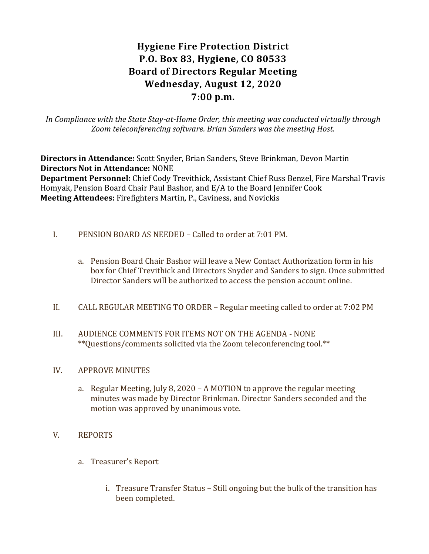# **Hygiene Fire Protection District P.O. Box 83, Hygiene, CO 80533 Board of Directors Regular Meeting Wednesday, August 12, 2020 7:00 p.m.**

*In Compliance with the State Stay-at-Home Order, this meeting was conducted virtually through Zoom teleconferencing software. Brian Sanders was the meeting Host.*

**Directors in Attendance:** Scott Snyder, Brian Sanders, Steve Brinkman, Devon Martin **Directors Not in Attendance:** NONE

**Department Personnel:** Chief Cody Trevithick, Assistant Chief Russ Benzel, Fire Marshal Travis Homyak, Pension Board Chair Paul Bashor, and E/A to the Board Jennifer Cook **Meeting Attendees:** Firefighters Martin, P., Caviness, and Novickis

- I. PENSION BOARD AS NEEDED Called to order at 7:01 PM.
	- a. Pension Board Chair Bashor will leave a New Contact Authorization form in his box for Chief Trevithick and Directors Snyder and Sanders to sign. Once submitted Director Sanders will be authorized to access the pension account online.
- II. CALL REGULAR MEETING TO ORDER Regular meeting called to order at 7:02 PM
- III. AUDIENCE COMMENTS FOR ITEMS NOT ON THE AGENDA NONE \*\*Questions/comments solicited via the Zoom teleconferencing tool.\*\*

#### IV. APPROVE MINUTES

a. Regular Meeting, July 8, 2020 – A MOTION to approve the regular meeting minutes was made by Director Brinkman. Director Sanders seconded and the motion was approved by unanimous vote.

# V. REPORTS

- a. Treasurer's Report
	- i. Treasure Transfer Status Still ongoing but the bulk of the transition has been completed.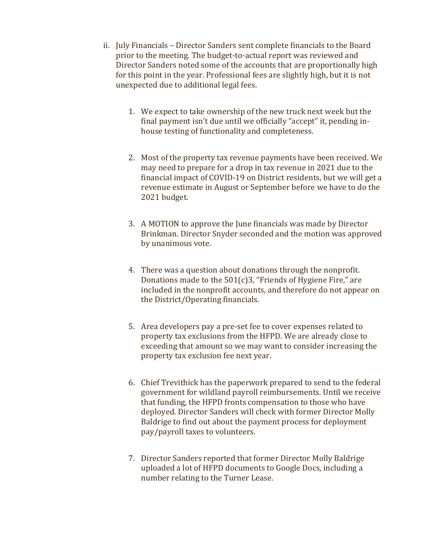- ii. July Financials Director Sanders sent complete financials to the Board prior to the meeting. The budget-to-actual report was reviewed and Director Sanders noted some of the accounts that are proportionally high for this point in the year. Professional fees are slightly high, but it is not unexpected due to additional legal fees.
	- 1. We expect to take ownership of the new truck next week but the final payment isn't due until we officially "accept" it, pending inhouse testing of functionality and completeness.
	- 2. Most of the property tax revenue payments have been received. We may need to prepare for a drop in tax revenue in 2021 due to the financial impact of COVID-19 on District residents, but we will get a revenue estimate in August or September before we have to do the 2021 budget.
	- 3. A MOTION to approve the June financials was made by Director Brinkman. Director Snyder seconded and the motion was approved by unanimous vote.
	- 4. There was a question about donations through the nonprofit. Donations made to the 501(c)3, "Friends of Hygiene Fire," are included in the nonprofit accounts, and therefore do not appear on the District/Operating financials.
	- 5. Area developers pay a pre-set fee to cover expenses related to property tax exclusions from the HFPD. We are already close to exceeding that amount so we may want to consider increasing the property tax exclusion fee next year.
	- 6. Chief Trevithick has the paperwork prepared to send to the federal government for wildland payroll reimbursements. Until we receive that funding, the HFPD fronts compensation to those who have deployed. Director Sanders will check with former Director Molly Baldrige to find out about the payment process for deployment pay/payroll taxes to volunteers.
	- 7. Director Sanders reported that former Director Molly Baldrige uploaded a lot of HFPD documents to Google Docs, including a number relating to the Turner Lease.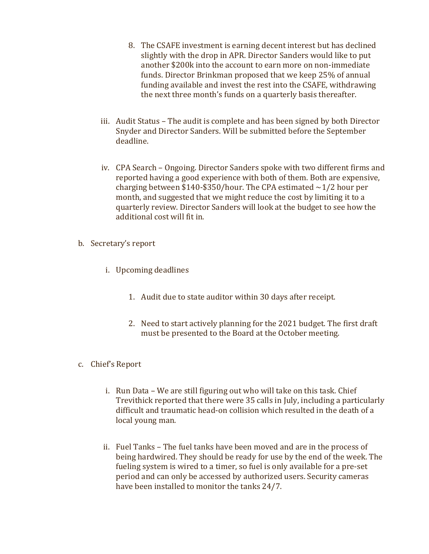- 8. The CSAFE investment is earning decent interest but has declined slightly with the drop in APR. Director Sanders would like to put another \$200k into the account to earn more on non-immediate funds. Director Brinkman proposed that we keep 25% of annual funding available and invest the rest into the CSAFE, withdrawing the next three month's funds on a quarterly basis thereafter.
- iii. Audit Status The audit is complete and has been signed by both Director Snyder and Director Sanders. Will be submitted before the September deadline.
- iv. CPA Search Ongoing. Director Sanders spoke with two different firms and reported having a good experience with both of them. Both are expensive, charging between \$140-\$350/hour. The CPA estimated  $\sim$ 1/2 hour per month, and suggested that we might reduce the cost by limiting it to a quarterly review. Director Sanders will look at the budget to see how the additional cost will fit in.
- b. Secretary's report
	- i. Upcoming deadlines
		- 1. Audit due to state auditor within 30 days after receipt.
		- 2. Need to start actively planning for the 2021 budget. The first draft must be presented to the Board at the October meeting.
- c. Chief's Report
	- i. Run Data We are still figuring out who will take on this task. Chief Trevithick reported that there were 35 calls in July, including a particularly difficult and traumatic head-on collision which resulted in the death of a local young man.
	- ii. Fuel Tanks The fuel tanks have been moved and are in the process of being hardwired. They should be ready for use by the end of the week. The fueling system is wired to a timer, so fuel is only available for a pre-set period and can only be accessed by authorized users. Security cameras have been installed to monitor the tanks 24/7.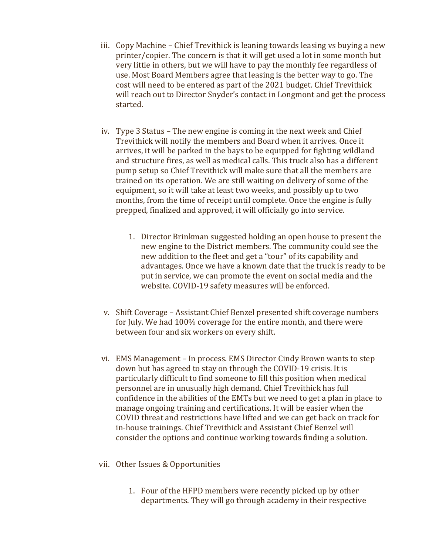- iii. Copy Machine Chief Trevithick is leaning towards leasing vs buying a new printer/copier. The concern is that it will get used a lot in some month but very little in others, but we will have to pay the monthly fee regardless of use. Most Board Members agree that leasing is the better way to go. The cost will need to be entered as part of the 2021 budget. Chief Trevithick will reach out to Director Snyder's contact in Longmont and get the process started.
- iv. Type 3 Status The new engine is coming in the next week and Chief Trevithick will notify the members and Board when it arrives. Once it arrives, it will be parked in the bays to be equipped for fighting wildland and structure fires, as well as medical calls. This truck also has a different pump setup so Chief Trevithick will make sure that all the members are trained on its operation. We are still waiting on delivery of some of the equipment, so it will take at least two weeks, and possibly up to two months, from the time of receipt until complete. Once the engine is fully prepped, finalized and approved, it will officially go into service.
	- 1. Director Brinkman suggested holding an open house to present the new engine to the District members. The community could see the new addition to the fleet and get a "tour" of its capability and advantages. Once we have a known date that the truck is ready to be put in service, we can promote the event on social media and the website. COVID-19 safety measures will be enforced.
- v. Shift Coverage Assistant Chief Benzel presented shift coverage numbers for July. We had 100% coverage for the entire month, and there were between four and six workers on every shift.
- vi. EMS Management In process. EMS Director Cindy Brown wants to step down but has agreed to stay on through the COVID-19 crisis. It is particularly difficult to find someone to fill this position when medical personnel are in unusually high demand. Chief Trevithick has full confidence in the abilities of the EMTs but we need to get a plan in place to manage ongoing training and certifications. It will be easier when the COVID threat and restrictions have lifted and we can get back on track for in-house trainings. Chief Trevithick and Assistant Chief Benzel will consider the options and continue working towards finding a solution.
- vii. Other Issues & Opportunities
	- 1. Four of the HFPD members were recently picked up by other departments. They will go through academy in their respective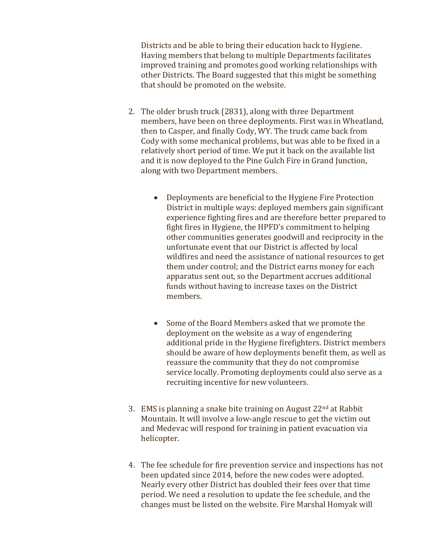Districts and be able to bring their education back to Hygiene. Having members that belong to multiple Departments facilitates improved training and promotes good working relationships with other Districts. The Board suggested that this might be something that should be promoted on the website.

- 2. The older brush truck (2831), along with three Department members, have been on three deployments. First was in Wheatland, then to Casper, and finally Cody, WY. The truck came back from Cody with some mechanical problems, but was able to be fixed in a relatively short period of time. We put it back on the available list and it is now deployed to the Pine Gulch Fire in Grand Junction, along with two Department members.
	- Deployments are beneficial to the Hygiene Fire Protection District in multiple ways: deployed members gain significant experience fighting fires and are therefore better prepared to fight fires in Hygiene, the HPFD's commitment to helping other communities generates goodwill and reciprocity in the unfortunate event that our District is affected by local wildfires and need the assistance of national resources to get them under control; and the District earns money for each apparatus sent out, so the Department accrues additional funds without having to increase taxes on the District members.
	- Some of the Board Members asked that we promote the deployment on the website as a way of engendering additional pride in the Hygiene firefighters. District members should be aware of how deployments benefit them, as well as reassure the community that they do not compromise service locally. Promoting deployments could also serve as a recruiting incentive for new volunteers.
- 3. EMS is planning a snake bite training on August  $22<sup>nd</sup>$  at Rabbit Mountain. It will involve a low-angle rescue to get the victim out and Medevac will respond for training in patient evacuation via helicopter.
- 4. The fee schedule for fire prevention service and inspections has not been updated since 2014, before the new codes were adopted. Nearly every other District has doubled their fees over that time period. We need a resolution to update the fee schedule, and the changes must be listed on the website. Fire Marshal Homyak will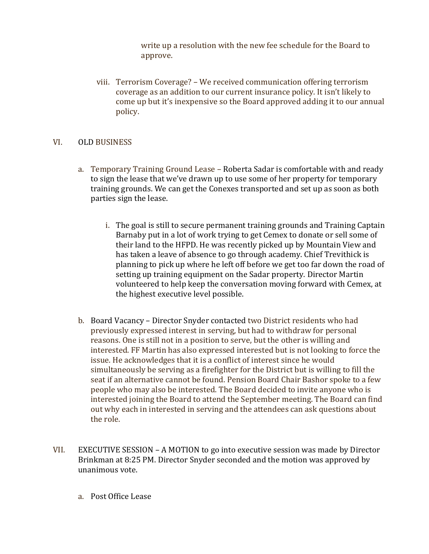write up a resolution with the new fee schedule for the Board to approve.

viii. Terrorism Coverage? – We received communication offering terrorism coverage as an addition to our current insurance policy. It isn't likely to come up but it's inexpensive so the Board approved adding it to our annual policy.

### VI. OLD BUSINESS

- a. Temporary Training Ground Lease Roberta Sadar is comfortable with and ready to sign the lease that we've drawn up to use some of her property for temporary training grounds. We can get the Conexes transported and set up as soon as both parties sign the lease.
	- i. The goal is still to secure permanent training grounds and Training Captain Barnaby put in a lot of work trying to get Cemex to donate or sell some of their land to the HFPD. He was recently picked up by Mountain View and has taken a leave of absence to go through academy. Chief Trevithick is planning to pick up where he left off before we get too far down the road of setting up training equipment on the Sadar property. Director Martin volunteered to help keep the conversation moving forward with Cemex, at the highest executive level possible.
- b. Board Vacancy Director Snyder contacted two District residents who had previously expressed interest in serving, but had to withdraw for personal reasons. One is still not in a position to serve, but the other is willing and interested. FF Martin has also expressed interested but is not looking to force the issue. He acknowledges that it is a conflict of interest since he would simultaneously be serving as a firefighter for the District but is willing to fill the seat if an alternative cannot be found. Pension Board Chair Bashor spoke to a few people who may also be interested. The Board decided to invite anyone who is interested joining the Board to attend the September meeting. The Board can find out why each in interested in serving and the attendees can ask questions about the role.
- VII. EXECUTIVE SESSION A MOTION to go into executive session was made by Director Brinkman at 8:25 PM. Director Snyder seconded and the motion was approved by unanimous vote.
	- a. Post Office Lease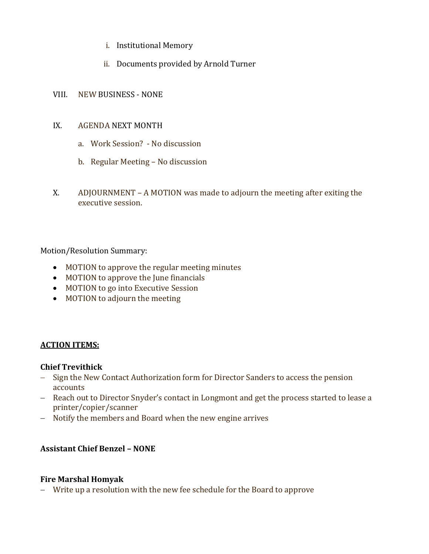- i. Institutional Memory
- ii. Documents provided by Arnold Turner

#### VIII. NEW BUSINESS - NONE

#### IX. AGENDA NEXT MONTH

- a. Work Session? No discussion
- b. Regular Meeting No discussion
- X. ADJOURNMENT A MOTION was made to adjourn the meeting after exiting the executive session.

### Motion/Resolution Summary:

- MOTION to approve the regular meeting minutes
- MOTION to approve the June financials
- MOTION to go into Executive Session
- MOTION to adjourn the meeting

# **ACTION ITEMS:**

# **Chief Trevithick**

- − Sign the New Contact Authorization form for Director Sanders to access the pension accounts
- − Reach out to Director Snyder's contact in Longmont and get the process started to lease a printer/copier/scanner
- − Notify the members and Board when the new engine arrives

# **Assistant Chief Benzel – NONE**

#### **Fire Marshal Homyak**

− Write up a resolution with the new fee schedule for the Board to approve